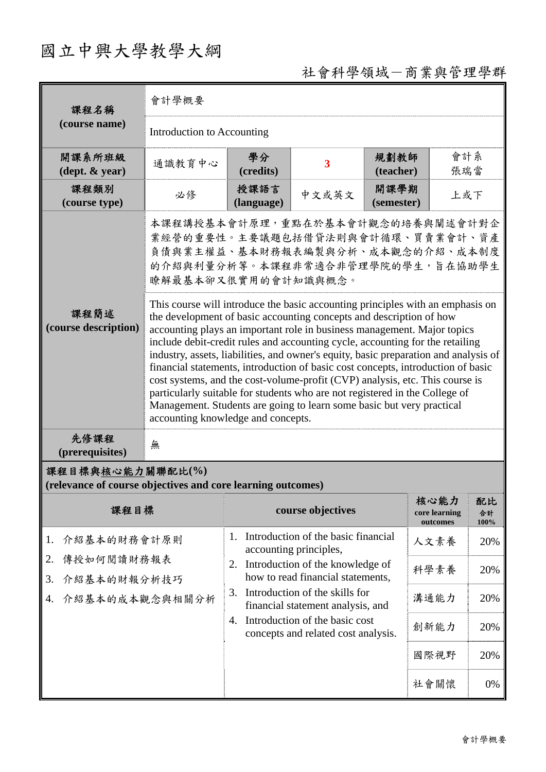## 國立中興大學教學大綱

## 社會科學領域-商業與管理學群

| 課程名稱                                                                            | 會計學概要                                                                                                                                                                                                                                                                                                                                                                                                                                                                                                                                                                                                                                                                                                                                                                       |                                                                             |                                                                       |                    |                                   |                  |  |
|---------------------------------------------------------------------------------|-----------------------------------------------------------------------------------------------------------------------------------------------------------------------------------------------------------------------------------------------------------------------------------------------------------------------------------------------------------------------------------------------------------------------------------------------------------------------------------------------------------------------------------------------------------------------------------------------------------------------------------------------------------------------------------------------------------------------------------------------------------------------------|-----------------------------------------------------------------------------|-----------------------------------------------------------------------|--------------------|-----------------------------------|------------------|--|
| (course name)                                                                   | Introduction to Accounting                                                                                                                                                                                                                                                                                                                                                                                                                                                                                                                                                                                                                                                                                                                                                  |                                                                             |                                                                       |                    |                                   |                  |  |
| 開課系所班級<br>(dept. & year)                                                        | 通識教育中心                                                                                                                                                                                                                                                                                                                                                                                                                                                                                                                                                                                                                                                                                                                                                                      | 學分<br>(credits)                                                             | $\overline{\mathbf{3}}$                                               | 規劃教師<br>(teacher)  | 會計系<br>張瑞當                        |                  |  |
| 課程類別<br>(course type)                                                           | 必修                                                                                                                                                                                                                                                                                                                                                                                                                                                                                                                                                                                                                                                                                                                                                                          | 授課語言<br>(language)                                                          | 中文或英文                                                                 | 開課學期<br>(semester) | 上或下                               |                  |  |
|                                                                                 | 本課程講授基本會計原理,重點在於基本會計觀念的培養與闡述會計對企<br>業經營的重要性。主要議題包括借貸法則與會計循環、買賣業會計、資產<br>負債與業主權益、基本財務報表編製與分析、成本觀念的介紹、成本制度<br>的介紹與利量分析等。本課程非常適合非管理學院的學生,旨在協助學生<br>瞭解最基本卻又很實用的會計知識與概念。                                                                                                                                                                                                                                                                                                                                                                                                                                                                                                                                                                                                         |                                                                             |                                                                       |                    |                                   |                  |  |
| 課程簡述<br>(course description)                                                    | This course will introduce the basic accounting principles with an emphasis on<br>the development of basic accounting concepts and description of how<br>accounting plays an important role in business management. Major topics<br>include debit-credit rules and accounting cycle, accounting for the retailing<br>industry, assets, liabilities, and owner's equity, basic preparation and analysis of<br>financial statements, introduction of basic cost concepts, introduction of basic<br>cost systems, and the cost-volume-profit (CVP) analysis, etc. This course is<br>particularly suitable for students who are not registered in the College of<br>Management. Students are going to learn some basic but very practical<br>accounting knowledge and concepts. |                                                                             |                                                                       |                    |                                   |                  |  |
| 先修課程<br>(prerequisites)                                                         | 無                                                                                                                                                                                                                                                                                                                                                                                                                                                                                                                                                                                                                                                                                                                                                                           |                                                                             |                                                                       |                    |                                   |                  |  |
| 課程目標與核心能力關聯配比(%)<br>(relevance of course objectives and core learning outcomes) |                                                                                                                                                                                                                                                                                                                                                                                                                                                                                                                                                                                                                                                                                                                                                                             |                                                                             |                                                                       |                    |                                   |                  |  |
| 課程目標                                                                            |                                                                                                                                                                                                                                                                                                                                                                                                                                                                                                                                                                                                                                                                                                                                                                             |                                                                             | course objectives                                                     |                    | 核心能力<br>core learning<br>outcomes | 配比<br>合計<br>100% |  |
| 介紹基本的財務會計原則<br>1.                                                               |                                                                                                                                                                                                                                                                                                                                                                                                                                                                                                                                                                                                                                                                                                                                                                             | Introduction of the basic financial<br>1.<br>accounting principles,         |                                                                       | 人文素養               | 20%                               |                  |  |
| 傳授如何閱讀財務報表<br>2.<br>介紹基本的財報分析技巧<br>3.                                           |                                                                                                                                                                                                                                                                                                                                                                                                                                                                                                                                                                                                                                                                                                                                                                             | 2.                                                                          | Introduction of the knowledge of<br>how to read financial statements, |                    | 科學素養                              | 20%              |  |
| 介紹基本的成本觀念與相關分析<br>4.                                                            |                                                                                                                                                                                                                                                                                                                                                                                                                                                                                                                                                                                                                                                                                                                                                                             | 3.                                                                          | Introduction of the skills for<br>financial statement analysis, and   |                    | 溝通能力                              | 20%              |  |
|                                                                                 |                                                                                                                                                                                                                                                                                                                                                                                                                                                                                                                                                                                                                                                                                                                                                                             | Introduction of the basic cost<br>4.<br>concepts and related cost analysis. |                                                                       | 創新能力               | 20%                               |                  |  |
|                                                                                 |                                                                                                                                                                                                                                                                                                                                                                                                                                                                                                                                                                                                                                                                                                                                                                             |                                                                             |                                                                       |                    | 國際視野                              | 20%              |  |
|                                                                                 |                                                                                                                                                                                                                                                                                                                                                                                                                                                                                                                                                                                                                                                                                                                                                                             |                                                                             |                                                                       |                    | 社會關懷                              | 0%               |  |